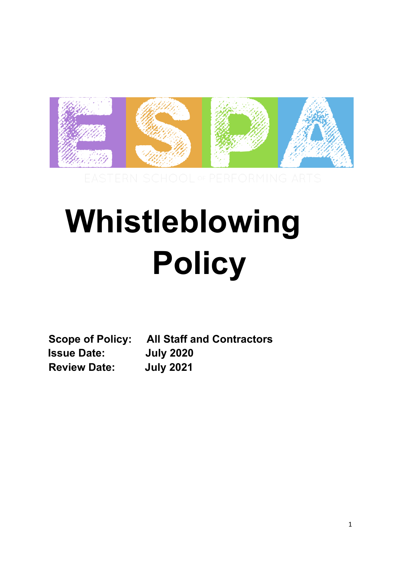

# **Whistleblowing Policy**

**Scope of Policy: All Staff and Contractors Issue Date: July 2020 Review Date: July 2021**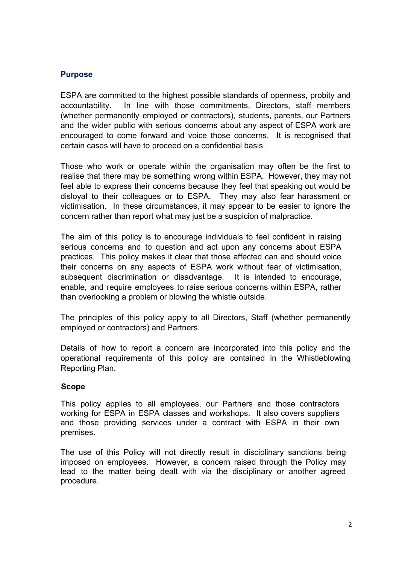#### **Purpose**

ESPA are committed to the highest possible standards of openness, probity and accountability. In line with those commitments, Directors, staff members (whether permanently employed or contractors), students, parents, our Partners and the wider public with serious concerns about any aspect of ESPA work are encouraged to come forward and voice those concerns. It is recognised that certain cases will have to proceed on a confidential basis.

Those who work or operate within the organisation may often be the first to realise that there may be something wrong within ESPA. However, they may not feel able to express their concerns because they feel that speaking out would be disloyal to their colleagues or to ESPA. They may also fear harassment or victimisation. In these circumstances, it may appear to be easier to ignore the concern rather than report what may just be a suspicion of malpractice.

The aim of this policy is to encourage individuals to feel confident in raising serious concerns and to question and act upon any concerns about ESPA practices. This policy makes it clear that those affected can and should voice their concerns on any aspects of ESPA work without fear of victimisation, subsequent discrimination or disadvantage. It is intended to encourage, enable, and require employees to raise serious concerns within ESPA, rather than overlooking a problem or blowing the whistle outside.

The principles of this policy apply to all Directors, Staff (whether permanently employed or contractors) and Partners.

Details of how to report a concern are incorporated into this policy and the operational requirements of this policy are contained in the Whistleblowing Reporting Plan.

#### **Scope**

This policy applies to all employees, our Partners and those contractors working for ESPA in ESPA classes and workshops. It also covers suppliers and those providing services under a contract with ESPA in their own premises.

The use of this Policy will not directly result in disciplinary sanctions being imposed on employees. However, a concern raised through the Policy may lead to the matter being dealt with via the disciplinary or another agreed procedure.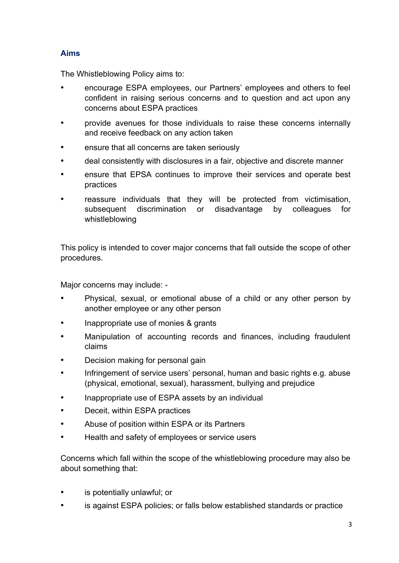## **Aims**

The Whistleblowing Policy aims to:

- encourage ESPA employees, our Partners' employees and others to feel confident in raising serious concerns and to question and act upon any concerns about ESPA practices
- provide avenues for those individuals to raise these concerns internally and receive feedback on any action taken
- ensure that all concerns are taken seriously
- deal consistently with disclosures in a fair, objective and discrete manner
- ensure that EPSA continues to improve their services and operate best practices
- reassure individuals that they will be protected from victimisation, subsequent discrimination or disadvantage by colleagues for whistleblowing

This policy is intended to cover major concerns that fall outside the scope of other procedures.

Major concerns may include: -

- Physical, sexual, or emotional abuse of a child or any other person by another employee or any other person
- Inappropriate use of monies & grants
- Manipulation of accounting records and finances, including fraudulent claims
- Decision making for personal gain
- Infringement of service users' personal, human and basic rights e.g. abuse (physical, emotional, sexual), harassment, bullying and prejudice
- Inappropriate use of ESPA assets by an individual
- Deceit, within ESPA practices
- Abuse of position within ESPA or its Partners
- Health and safety of employees or service users

Concerns which fall within the scope of the whistleblowing procedure may also be about something that:

- is potentially unlawful; or
- is against ESPA policies; or falls below established standards or practice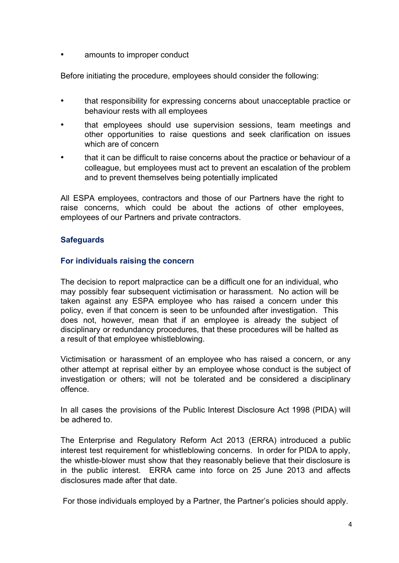amounts to improper conduct

Before initiating the procedure, employees should consider the following:

- that responsibility for expressing concerns about unacceptable practice or behaviour rests with all employees
- that employees should use supervision sessions, team meetings and other opportunities to raise questions and seek clarification on issues which are of concern
- that it can be difficult to raise concerns about the practice or behaviour of a colleague, but employees must act to prevent an escalation of the problem and to prevent themselves being potentially implicated

All ESPA employees, contractors and those of our Partners have the right to raise concerns, which could be about the actions of other employees, employees of our Partners and private contractors.

## **Safeguards**

## **For individuals raising the concern**

The decision to report malpractice can be a difficult one for an individual, who may possibly fear subsequent victimisation or harassment. No action will be taken against any ESPA employee who has raised a concern under this policy, even if that concern is seen to be unfounded after investigation. This does not, however, mean that if an employee is already the subject of disciplinary or redundancy procedures, that these procedures will be halted as a result of that employee whistleblowing.

Victimisation or harassment of an employee who has raised a concern, or any other attempt at reprisal either by an employee whose conduct is the subject of investigation or others; will not be tolerated and be considered a disciplinary offence.

In all cases the provisions of the Public Interest Disclosure Act 1998 (PIDA) will be adhered to.

The Enterprise and Regulatory Reform Act 2013 (ERRA) introduced a public interest test requirement for whistleblowing concerns. In order for PIDA to apply, the whistle-blower must show that they reasonably believe that their disclosure is in the public interest. ERRA came into force on 25 June 2013 and affects disclosures made after that date.

For those individuals employed by a Partner, the Partner's policies should apply.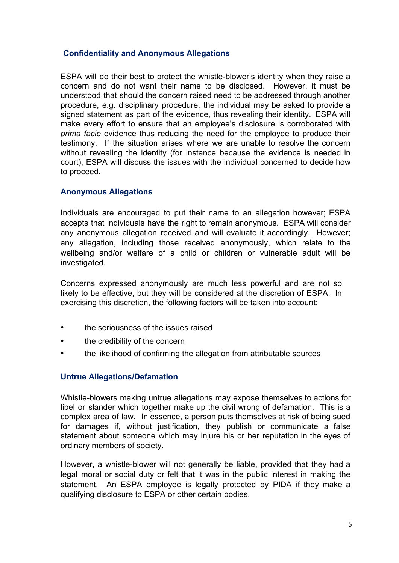## **Confidentiality and Anonymous Allegations**

ESPA will do their best to protect the whistle-blower's identity when they raise a concern and do not want their name to be disclosed. However, it must be understood that should the concern raised need to be addressed through another procedure, e.g. disciplinary procedure, the individual may be asked to provide a signed statement as part of the evidence, thus revealing their identity. ESPA will make every effort to ensure that an employee's disclosure is corroborated with *prima facie* evidence thus reducing the need for the employee to produce their testimony. If the situation arises where we are unable to resolve the concern without revealing the identity (for instance because the evidence is needed in court), ESPA will discuss the issues with the individual concerned to decide how to proceed.

#### **Anonymous Allegations**

Individuals are encouraged to put their name to an allegation however; ESPA accepts that individuals have the right to remain anonymous. ESPA will consider any anonymous allegation received and will evaluate it accordingly. However; any allegation, including those received anonymously, which relate to the wellbeing and/or welfare of a child or children or vulnerable adult will be investigated.

Concerns expressed anonymously are much less powerful and are not so likely to be effective, but they will be considered at the discretion of ESPA. In exercising this discretion, the following factors will be taken into account:

- the seriousness of the issues raised
- the credibility of the concern
- the likelihood of confirming the allegation from attributable sources

#### **Untrue Allegations/Defamation**

Whistle-blowers making untrue allegations may expose themselves to actions for libel or slander which together make up the civil wrong of defamation. This is a complex area of law. In essence, a person puts themselves at risk of being sued for damages if, without justification, they publish or communicate a false statement about someone which may injure his or her reputation in the eyes of ordinary members of society.

However, a whistle-blower will not generally be liable, provided that they had a legal moral or social duty or felt that it was in the public interest in making the statement. An ESPA employee is legally protected by PIDA if they make a qualifying disclosure to ESPA or other certain bodies.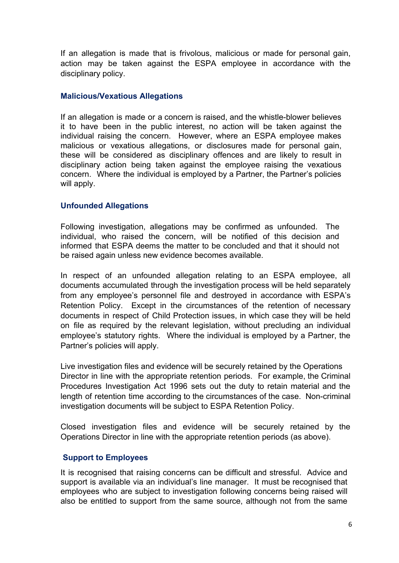If an allegation is made that is frivolous, malicious or made for personal gain, action may be taken against the ESPA employee in accordance with the disciplinary policy.

#### **Malicious/Vexatious Allegations**

If an allegation is made or a concern is raised, and the whistle-blower believes it to have been in the public interest, no action will be taken against the individual raising the concern. However, where an ESPA employee makes malicious or vexatious allegations, or disclosures made for personal gain, these will be considered as disciplinary offences and are likely to result in disciplinary action being taken against the employee raising the vexatious concern. Where the individual is employed by a Partner, the Partner's policies will apply.

#### **Unfounded Allegations**

Following investigation, allegations may be confirmed as unfounded. The individual, who raised the concern, will be notified of this decision and informed that ESPA deems the matter to be concluded and that it should not be raised again unless new evidence becomes available.

In respect of an unfounded allegation relating to an ESPA employee, all documents accumulated through the investigation process will be held separately from any employee's personnel file and destroyed in accordance with ESPA's Retention Policy. Except in the circumstances of the retention of necessary documents in respect of Child Protection issues, in which case they will be held on file as required by the relevant legislation, without precluding an individual employee's statutory rights. Where the individual is employed by a Partner, the Partner's policies will apply.

Live investigation files and evidence will be securely retained by the Operations Director in line with the appropriate retention periods. For example, the Criminal Procedures Investigation Act 1996 sets out the duty to retain material and the length of retention time according to the circumstances of the case. Non-criminal investigation documents will be subject to ESPA Retention Policy.

Closed investigation files and evidence will be securely retained by the Operations Director in line with the appropriate retention periods (as above).

#### **Support to Employees**

It is recognised that raising concerns can be difficult and stressful. Advice and support is available via an individual's line manager. It must be recognised that employees who are subject to investigation following concerns being raised will also be entitled to support from the same source, although not from the same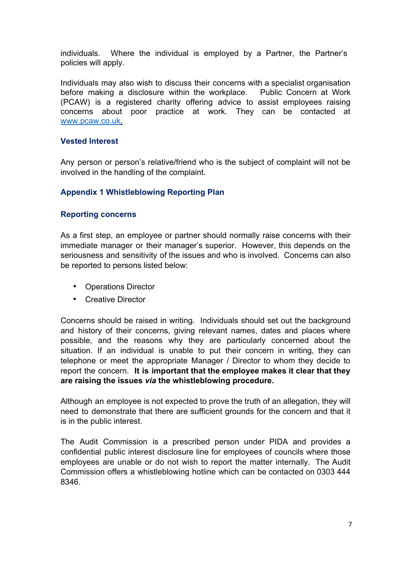individuals. Where the individual is employed by a Partner, the Partner's policies will apply.

Individuals may also wish to discuss their concerns with a specialist organisation before making a disclosure within the workplace. Public Concern at Work (PCAW) is a registered charity offering advice to assist employees raising concerns about poor practice at work. They can be contacted at www.pcaw.co.uk.

#### **Vested Interest**

Any person or person's relative/friend who is the subject of complaint will not be involved in the handling of the complaint.

## **Appendix 1 Whistleblowing Reporting Plan**

#### **Reporting concerns**

As a first step, an employee or partner should normally raise concerns with their immediate manager or their manager's superior. However, this depends on the seriousness and sensitivity of the issues and who is involved. Concerns can also be reported to persons listed below:

- Operations Director
- Creative Director

Concerns should be raised in writing. Individuals should set out the background and history of their concerns, giving relevant names, dates and places where possible, and the reasons why they are particularly concerned about the situation. If an individual is unable to put their concern in writing, they can telephone or meet the appropriate Manager / Director to whom they decide to report the concern. **It is important that the employee makes it clear that they are raising the issues** *via* **the whistleblowing procedure.**

Although an employee is not expected to prove the truth of an allegation, they will need to demonstrate that there are sufficient grounds for the concern and that it is in the public interest.

The Audit Commission is a prescribed person under PIDA and provides a confidential public interest disclosure line for employees of councils where those employees are unable or do not wish to report the matter internally. The Audit Commission offers a whistleblowing hotline which can be contacted on 0303 444 8346.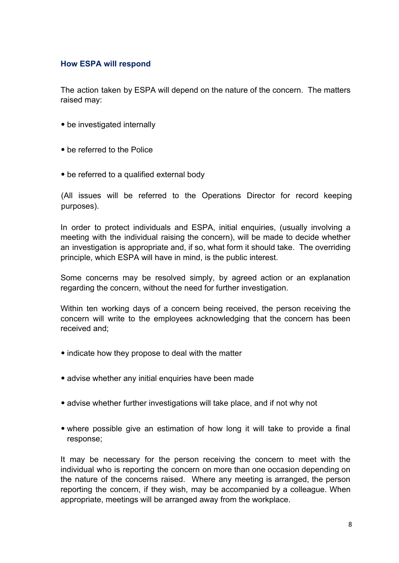#### **How ESPA will respond**

The action taken by ESPA will depend on the nature of the concern. The matters raised may:

- be investigated internally
- be referred to the Police
- be referred to a qualified external body

(All issues will be referred to the Operations Director for record keeping purposes).

In order to protect individuals and ESPA, initial enquiries, (usually involving a meeting with the individual raising the concern), will be made to decide whether an investigation is appropriate and, if so, what form it should take. The overriding principle, which ESPA will have in mind, is the public interest.

Some concerns may be resolved simply, by agreed action or an explanation regarding the concern, without the need for further investigation.

Within ten working days of a concern being received, the person receiving the concern will write to the employees acknowledging that the concern has been received and;

- indicate how they propose to deal with the matter
- advise whether any initial enquiries have been made
- advise whether further investigations will take place, and if not why not
- where possible give an estimation of how long it will take to provide a final response;

It may be necessary for the person receiving the concern to meet with the individual who is reporting the concern on more than one occasion depending on the nature of the concerns raised. Where any meeting is arranged, the person reporting the concern, if they wish, may be accompanied by a colleague. When appropriate, meetings will be arranged away from the workplace.